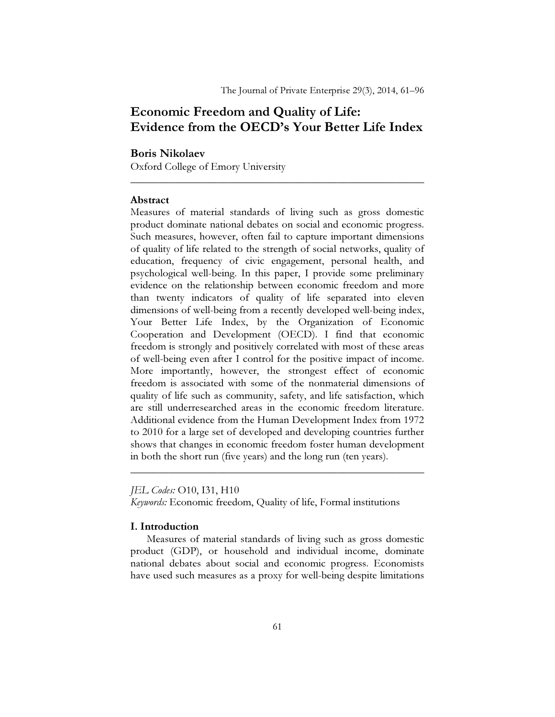# Economic Freedom and Quality of Life: Evidence from the OECD's Your Better Life Index

\_\_\_\_\_\_\_\_\_\_\_\_\_\_\_\_\_\_\_\_\_\_\_\_\_\_\_\_\_\_\_\_\_\_\_\_\_\_\_\_\_\_\_\_\_\_\_\_\_\_\_\_\_\_

### Boris Nikolaev

Oxford College of Emory University

## Abstract

Measures of material standards of living such as gross domestic product dominate national debates on social and economic progress. Such measures, however, often fail to capture important dimensions of quality of life related to the strength of social networks, quality of education, frequency of civic engagement, personal health, and psychological well-being. In this paper, I provide some preliminary evidence on the relationship between economic freedom and more than twenty indicators of quality of life separated into eleven dimensions of well-being from a recently developed well-being index, Your Better Life Index, by the Organization of Economic Cooperation and Development (OECD). I find that economic freedom is strongly and positively correlated with most of these areas of well-being even after I control for the positive impact of income. More importantly, however, the strongest effect of economic freedom is associated with some of the nonmaterial dimensions of quality of life such as community, safety, and life satisfaction, which are still underresearched areas in the economic freedom literature. Additional evidence from the Human Development Index from 1972 to 2010 for a large set of developed and developing countries further shows that changes in economic freedom foster human development in both the short run (five years) and the long run (ten years).

JEL Codes: O10, I31, H10

Keywords: Economic freedom, Quality of life, Formal institutions

### I. Introduction

 Measures of material standards of living such as gross domestic product (GDP), or household and individual income, dominate national debates about social and economic progress. Economists have used such measures as a proxy for well-being despite limitations

\_\_\_\_\_\_\_\_\_\_\_\_\_\_\_\_\_\_\_\_\_\_\_\_\_\_\_\_\_\_\_\_\_\_\_\_\_\_\_\_\_\_\_\_\_\_\_\_\_\_\_\_\_\_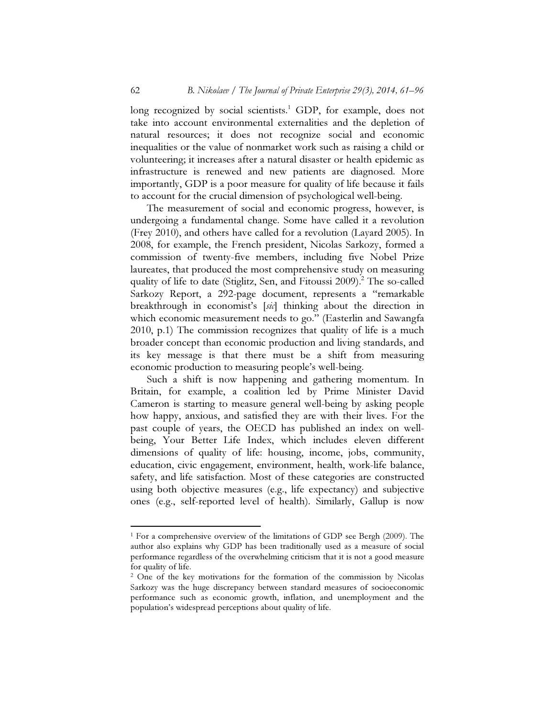long recognized by social scientists.<sup>1</sup> GDP, for example, does not take into account environmental externalities and the depletion of natural resources; it does not recognize social and economic inequalities or the value of nonmarket work such as raising a child or volunteering; it increases after a natural disaster or health epidemic as infrastructure is renewed and new patients are diagnosed. More importantly, GDP is a poor measure for quality of life because it fails to account for the crucial dimension of psychological well-being.

 The measurement of social and economic progress, however, is undergoing a fundamental change. Some have called it a revolution (Frey 2010), and others have called for a revolution (Layard 2005). In 2008, for example, the French president, Nicolas Sarkozy, formed a commission of twenty-five members, including five Nobel Prize laureates, that produced the most comprehensive study on measuring quality of life to date (Stiglitz, Sen, and Fitoussi 2009).<sup>2</sup> The so-called Sarkozy Report, a 292-page document, represents a "remarkable breakthrough in economist's [sic] thinking about the direction in which economic measurement needs to go." (Easterlin and Sawangfa 2010, p.1) The commission recognizes that quality of life is a much broader concept than economic production and living standards, and its key message is that there must be a shift from measuring economic production to measuring people's well-being.

 Such a shift is now happening and gathering momentum. In Britain, for example, a coalition led by Prime Minister David Cameron is starting to measure general well-being by asking people how happy, anxious, and satisfied they are with their lives. For the past couple of years, the OECD has published an index on wellbeing, Your Better Life Index, which includes eleven different dimensions of quality of life: housing, income, jobs, community, education, civic engagement, environment, health, work-life balance, safety, and life satisfaction. Most of these categories are constructed using both objective measures (e.g., life expectancy) and subjective ones (e.g., self-reported level of health). Similarly, Gallup is now

 $\overline{a}$ 

<sup>&</sup>lt;sup>1</sup> For a comprehensive overview of the limitations of GDP see Bergh (2009). The author also explains why GDP has been traditionally used as a measure of social performance regardless of the overwhelming criticism that it is not a good measure for quality of life.

<sup>2</sup> One of the key motivations for the formation of the commission by Nicolas Sarkozy was the huge discrepancy between standard measures of socioeconomic performance such as economic growth, inflation, and unemployment and the population's widespread perceptions about quality of life.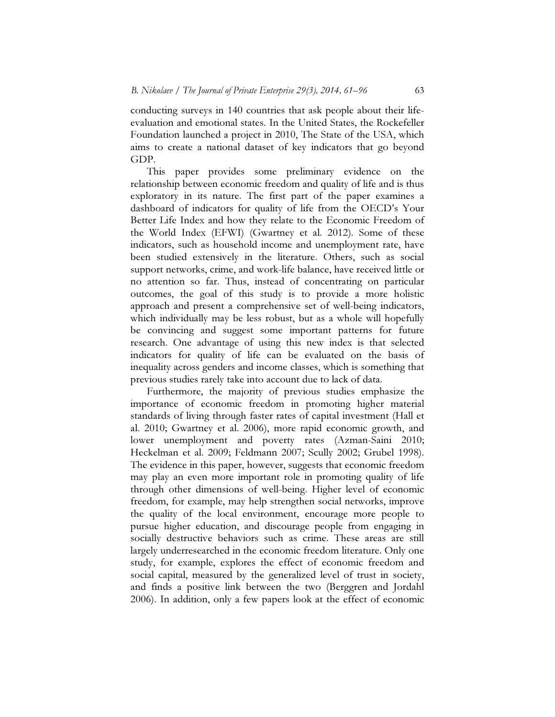conducting surveys in 140 countries that ask people about their lifeevaluation and emotional states. In the United States, the Rockefeller Foundation launched a project in 2010, The State of the USA, which aims to create a national dataset of key indicators that go beyond GDP.

 This paper provides some preliminary evidence on the relationship between economic freedom and quality of life and is thus exploratory in its nature. The first part of the paper examines a dashboard of indicators for quality of life from the OECD's Your Better Life Index and how they relate to the Economic Freedom of the World Index (EFWI) (Gwartney et al. 2012). Some of these indicators, such as household income and unemployment rate, have been studied extensively in the literature. Others, such as social support networks, crime, and work-life balance, have received little or no attention so far. Thus, instead of concentrating on particular outcomes, the goal of this study is to provide a more holistic approach and present a comprehensive set of well-being indicators, which individually may be less robust, but as a whole will hopefully be convincing and suggest some important patterns for future research. One advantage of using this new index is that selected indicators for quality of life can be evaluated on the basis of inequality across genders and income classes, which is something that previous studies rarely take into account due to lack of data.

 Furthermore, the majority of previous studies emphasize the importance of economic freedom in promoting higher material standards of living through faster rates of capital investment (Hall et al. 2010; Gwartney et al. 2006), more rapid economic growth, and lower unemployment and poverty rates (Azman-Saini 2010; Heckelman et al. 2009; Feldmann 2007; Scully 2002; Grubel 1998). The evidence in this paper, however, suggests that economic freedom may play an even more important role in promoting quality of life through other dimensions of well-being. Higher level of economic freedom, for example, may help strengthen social networks, improve the quality of the local environment, encourage more people to pursue higher education, and discourage people from engaging in socially destructive behaviors such as crime. These areas are still largely underresearched in the economic freedom literature. Only one study, for example, explores the effect of economic freedom and social capital, measured by the generalized level of trust in society, and finds a positive link between the two (Berggren and Jordahl 2006). In addition, only a few papers look at the effect of economic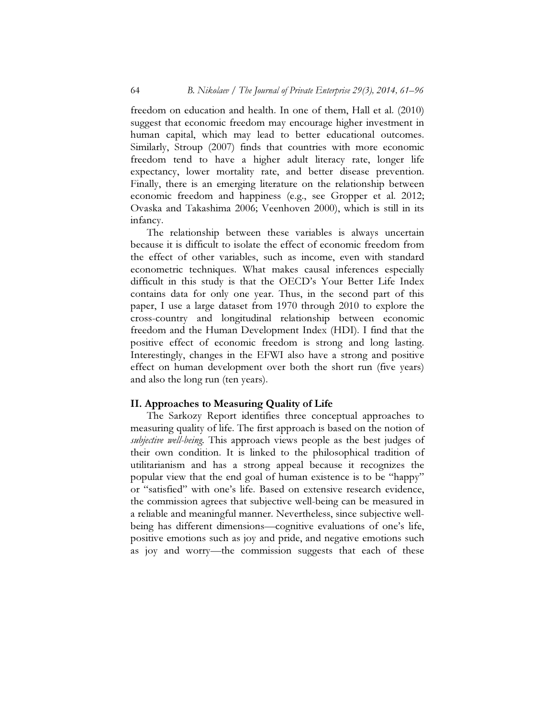freedom on education and health. In one of them, Hall et al. (2010) suggest that economic freedom may encourage higher investment in human capital, which may lead to better educational outcomes. Similarly, Stroup (2007) finds that countries with more economic freedom tend to have a higher adult literacy rate, longer life expectancy, lower mortality rate, and better disease prevention. Finally, there is an emerging literature on the relationship between economic freedom and happiness (e.g., see Gropper et al. 2012; Ovaska and Takashima 2006; Veenhoven 2000), which is still in its infancy.

 The relationship between these variables is always uncertain because it is difficult to isolate the effect of economic freedom from the effect of other variables, such as income, even with standard econometric techniques. What makes causal inferences especially difficult in this study is that the OECD's Your Better Life Index contains data for only one year. Thus, in the second part of this paper, I use a large dataset from 1970 through 2010 to explore the cross-country and longitudinal relationship between economic freedom and the Human Development Index (HDI). I find that the positive effect of economic freedom is strong and long lasting. Interestingly, changes in the EFWI also have a strong and positive effect on human development over both the short run (five years) and also the long run (ten years).

### II. Approaches to Measuring Quality of Life

 The Sarkozy Report identifies three conceptual approaches to measuring quality of life. The first approach is based on the notion of subjective well-being. This approach views people as the best judges of their own condition. It is linked to the philosophical tradition of utilitarianism and has a strong appeal because it recognizes the popular view that the end goal of human existence is to be "happy" or "satisfied" with one's life. Based on extensive research evidence, the commission agrees that subjective well-being can be measured in a reliable and meaningful manner. Nevertheless, since subjective wellbeing has different dimensions—cognitive evaluations of one's life, positive emotions such as joy and pride, and negative emotions such as joy and worry—the commission suggests that each of these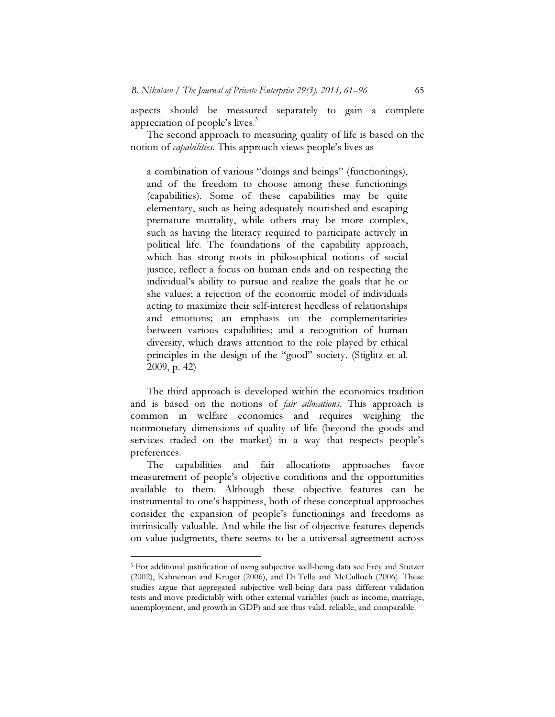aspects should be measured separately to gain a complete appreciation of people's lives.<sup>3</sup>

 The second approach to measuring quality of life is based on the notion of *capabilities*. This approach views people's lives as

a combination of various "doings and beings" (functionings), and of the freedom to choose among these functionings (capabilities). Some of these capabilities may be quite elementary, such as being adequately nourished and escaping premature mortality, while others may be more complex, such as having the literacy required to participate actively in political life. The foundations of the capability approach, which has strong roots in philosophical notions of social justice, reflect a focus on human ends and on respecting the individual's ability to pursue and realize the goals that he or she values; a rejection of the economic model of individuals acting to maximize their self-interest heedless of relationships and emotions; an emphasis on the complementarities between various capabilities; and a recognition of human diversity, which draws attention to the role played by ethical principles in the design of the "good" society. (Stiglitz et al. 2009, p. 42)

 The third approach is developed within the economics tradition and is based on the notions of *fair allocations*. This approach is common in welfare economics and requires weighing the nonmonetary dimensions of quality of life (beyond the goods and services traded on the market) in a way that respects people's preferences.

 The capabilities and fair allocations approaches favor measurement of people's objective conditions and the opportunities available to them. Although these objective features can be instrumental to one's happiness, both of these conceptual approaches consider the expansion of people's functionings and freedoms as intrinsically valuable. And while the list of objective features depends on value judgments, there seems to be a universal agreement across

 $\overline{a}$ 

<sup>3</sup> For additional justification of using subjective well-being data see Frey and Stutzer (2002), Kahneman and Kruger (2006), and Di Tella and McCulloch (2006). These studies argue that aggregated subjective well-being data pass different validation tests and move predictably with other external variables (such as income, marriage, unemployment, and growth in GDP) and are thus valid, reliable, and comparable.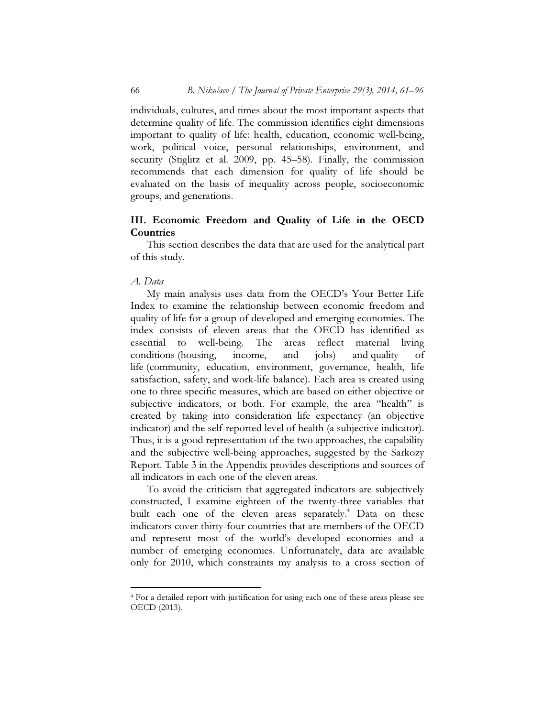individuals, cultures, and times about the most important aspects that determine quality of life. The commission identifies eight dimensions important to quality of life: health, education, economic well-being, work, political voice, personal relationships, environment, and security (Stiglitz et al. 2009, pp. 45–58). Finally, the commission recommends that each dimension for quality of life should be evaluated on the basis of inequality across people, socioeconomic groups, and generations.

## III. Economic Freedom and Quality of Life in the OECD **Countries**

 This section describes the data that are used for the analytical part of this study.

### A. Data

 $\overline{a}$ 

 My main analysis uses data from the OECD's Your Better Life Index to examine the relationship between economic freedom and quality of life for a group of developed and emerging economies. The index consists of eleven areas that the OECD has identified as essential to well-being. The areas reflect material living conditions (housing, income, and jobs) and quality of life (community, education, environment, governance, health, life satisfaction, safety, and work-life balance). Each area is created using one to three specific measures, which are based on either objective or subjective indicators, or both. For example, the area "health" is created by taking into consideration life expectancy (an objective indicator) and the self-reported level of health (a subjective indicator). Thus, it is a good representation of the two approaches, the capability and the subjective well-being approaches, suggested by the Sarkozy Report. Table 3 in the Appendix provides descriptions and sources of all indicators in each one of the eleven areas.

 To avoid the criticism that aggregated indicators are subjectively constructed, I examine eighteen of the twenty-three variables that built each one of the eleven areas separately.<sup>4</sup> Data on these indicators cover thirty-four countries that are members of the OECD and represent most of the world's developed economies and a number of emerging economies. Unfortunately, data are available only for 2010, which constraints my analysis to a cross section of

<sup>4</sup> For a detailed report with justification for using each one of these areas please see OECD (2013).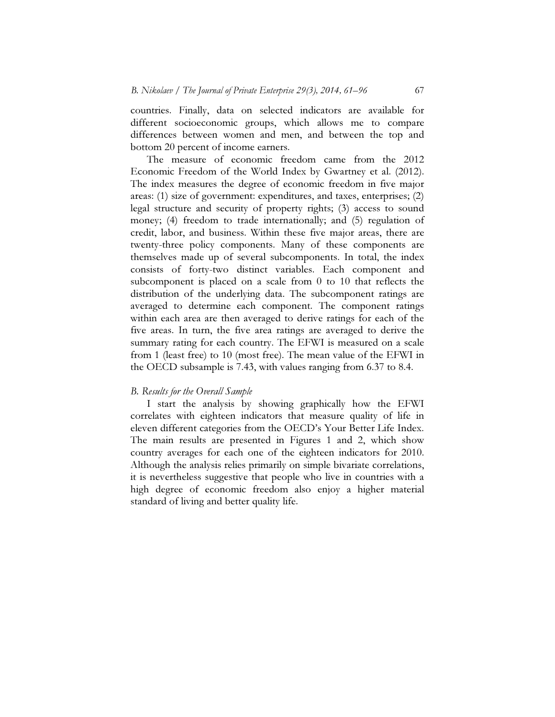countries. Finally, data on selected indicators are available for different socioeconomic groups, which allows me to compare differences between women and men, and between the top and bottom 20 percent of income earners.

 The measure of economic freedom came from the 2012 Economic Freedom of the World Index by Gwartney et al. (2012). The index measures the degree of economic freedom in five major areas: (1) size of government: expenditures, and taxes, enterprises; (2) legal structure and security of property rights; (3) access to sound money; (4) freedom to trade internationally; and (5) regulation of credit, labor, and business. Within these five major areas, there are twenty-three policy components. Many of these components are themselves made up of several subcomponents. In total, the index consists of forty-two distinct variables. Each component and subcomponent is placed on a scale from 0 to 10 that reflects the distribution of the underlying data. The subcomponent ratings are averaged to determine each component. The component ratings within each area are then averaged to derive ratings for each of the five areas. In turn, the five area ratings are averaged to derive the summary rating for each country. The EFWI is measured on a scale from 1 (least free) to 10 (most free). The mean value of the EFWI in the OECD subsample is 7.43, with values ranging from 6.37 to 8.4.

### B. Results for the Overall Sample

 I start the analysis by showing graphically how the EFWI correlates with eighteen indicators that measure quality of life in eleven different categories from the OECD's Your Better Life Index. The main results are presented in Figures 1 and 2, which show country averages for each one of the eighteen indicators for 2010. Although the analysis relies primarily on simple bivariate correlations, it is nevertheless suggestive that people who live in countries with a high degree of economic freedom also enjoy a higher material standard of living and better quality life.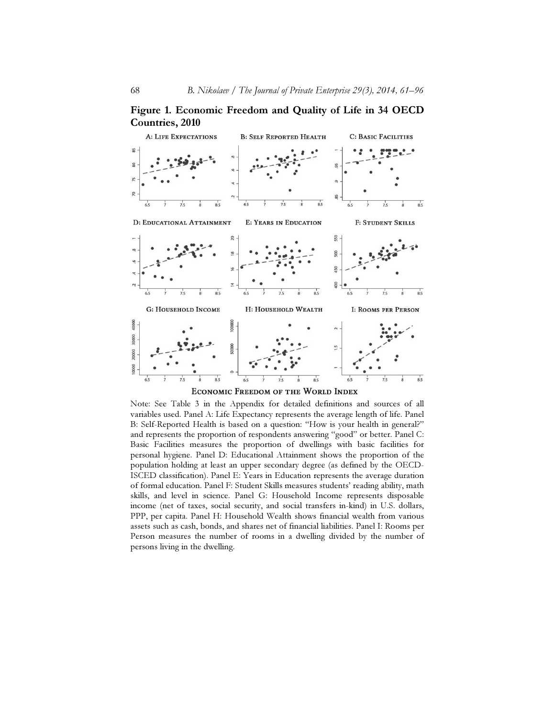Figure 1. Economic Freedom and Quality of Life in 34 OECD Countries, 2010



ECONOMIC FREEDOM OF THE WORLD INDEX

Note: See Table 3 in the Appendix for detailed definitions and sources of all variables used. Panel A: Life Expectancy represents the average length of life. Panel B: Self-Reported Health is based on a question: "How is your health in general?" and represents the proportion of respondents answering "good" or better. Panel C: Basic Facilities measures the proportion of dwellings with basic facilities for personal hygiene. Panel D: Educational Attainment shows the proportion of the population holding at least an upper secondary degree (as defined by the OECD-ISCED classification). Panel E: Years in Education represents the average duration of formal education. Panel F: Student Skills measures students' reading ability, math skills, and level in science. Panel G: Household Income represents disposable income (net of taxes, social security, and social transfers in-kind) in U.S. dollars, PPP, per capita. Panel H: Household Wealth shows financial wealth from various assets such as cash, bonds, and shares net of financial liabilities. Panel I: Rooms per Person measures the number of rooms in a dwelling divided by the number of persons living in the dwelling.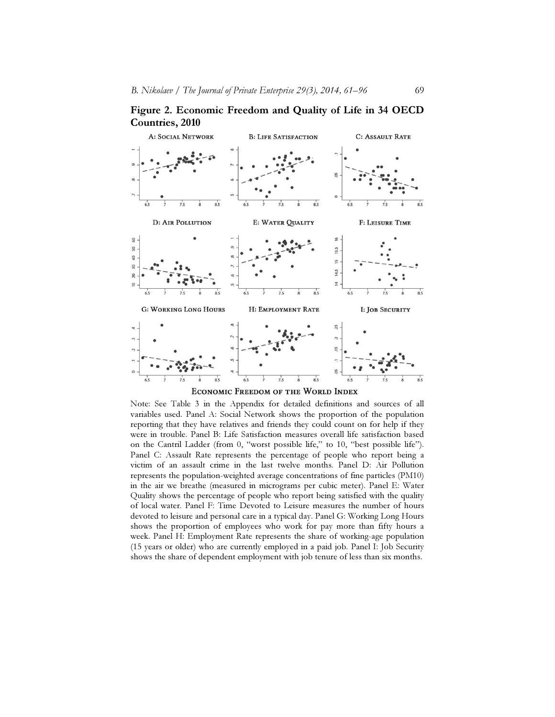Figure 2. Economic Freedom and Quality of Life in 34 OECD Countries, 2010



Note: See Table 3 in the Appendix for detailed definitions and sources of all variables used. Panel A: Social Network shows the proportion of the population reporting that they have relatives and friends they could count on for help if they were in trouble. Panel B: Life Satisfaction measures overall life satisfaction based on the Cantril Ladder (from 0, "worst possible life," to 10, "best possible life"). Panel C: Assault Rate represents the percentage of people who report being a victim of an assault crime in the last twelve months. Panel D: Air Pollution represents the population-weighted average concentrations of fine particles (PM10) in the air we breathe (measured in micrograms per cubic meter). Panel E: Water Quality shows the percentage of people who report being satisfied with the quality of local water. Panel F: Time Devoted to Leisure measures the number of hours devoted to leisure and personal care in a typical day. Panel G: Working Long Hours shows the proportion of employees who work for pay more than fifty hours a week. Panel H: Employment Rate represents the share of working-age population (15 years or older) who are currently employed in a paid job. Panel I: Job Security shows the share of dependent employment with job tenure of less than six months.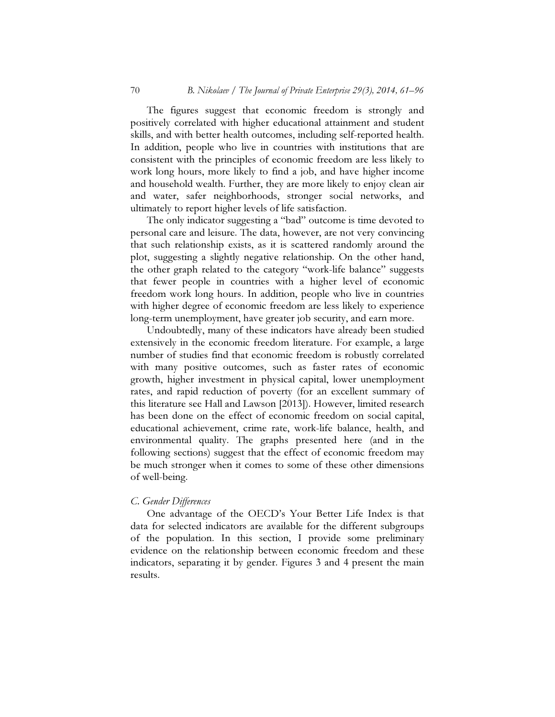The figures suggest that economic freedom is strongly and positively correlated with higher educational attainment and student skills, and with better health outcomes, including self-reported health. In addition, people who live in countries with institutions that are consistent with the principles of economic freedom are less likely to work long hours, more likely to find a job, and have higher income and household wealth. Further, they are more likely to enjoy clean air and water, safer neighborhoods, stronger social networks, and ultimately to report higher levels of life satisfaction.

 The only indicator suggesting a "bad" outcome is time devoted to personal care and leisure. The data, however, are not very convincing that such relationship exists, as it is scattered randomly around the plot, suggesting a slightly negative relationship. On the other hand, the other graph related to the category "work-life balance" suggests that fewer people in countries with a higher level of economic freedom work long hours. In addition, people who live in countries with higher degree of economic freedom are less likely to experience long-term unemployment, have greater job security, and earn more.

 Undoubtedly, many of these indicators have already been studied extensively in the economic freedom literature. For example, a large number of studies find that economic freedom is robustly correlated with many positive outcomes, such as faster rates of economic growth, higher investment in physical capital, lower unemployment rates, and rapid reduction of poverty (for an excellent summary of this literature see Hall and Lawson [2013]). However, limited research has been done on the effect of economic freedom on social capital, educational achievement, crime rate, work-life balance, health, and environmental quality. The graphs presented here (and in the following sections) suggest that the effect of economic freedom may be much stronger when it comes to some of these other dimensions of well-being.

#### C. Gender Differences

 One advantage of the OECD's Your Better Life Index is that data for selected indicators are available for the different subgroups of the population. In this section, I provide some preliminary evidence on the relationship between economic freedom and these indicators, separating it by gender. Figures 3 and 4 present the main results.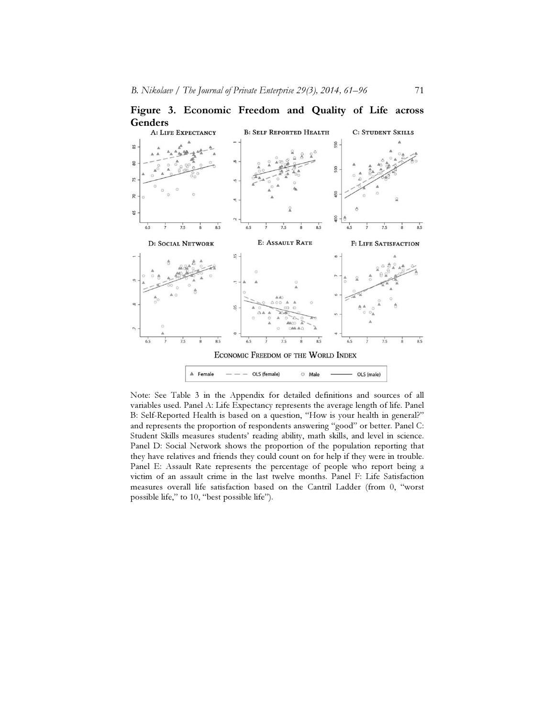

Figure 3. Economic Freedom and Quality of Life across

Note: See Table 3 in the Appendix for detailed definitions and sources of all variables used. Panel A: Life Expectancy represents the average length of life. Panel B: Self-Reported Health is based on a question, "How is your health in general?" and represents the proportion of respondents answering "good" or better. Panel C: Student Skills measures students' reading ability, math skills, and level in science. Panel D: Social Network shows the proportion of the population reporting that they have relatives and friends they could count on for help if they were in trouble. Panel E: Assault Rate represents the percentage of people who report being a victim of an assault crime in the last twelve months. Panel F: Life Satisfaction measures overall life satisfaction based on the Cantril Ladder (from 0, "worst possible life," to 10, "best possible life").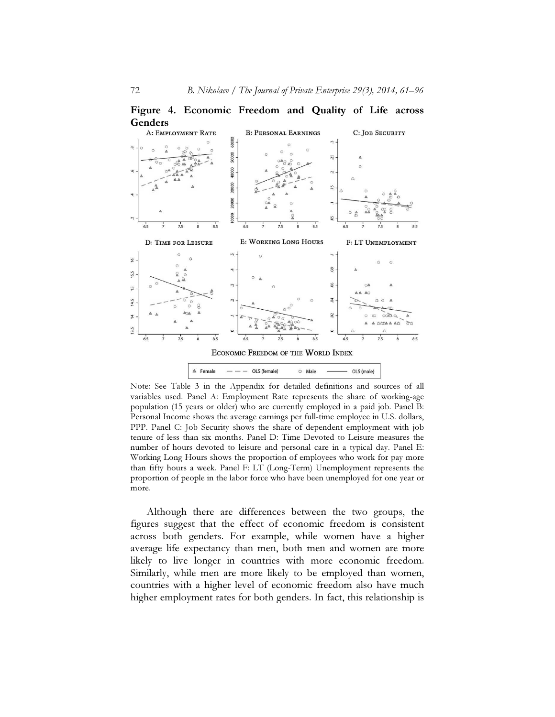



Note: See Table 3 in the Appendix for detailed definitions and sources of all variables used. Panel A: Employment Rate represents the share of working-age population (15 years or older) who are currently employed in a paid job. Panel B: Personal Income shows the average earnings per full-time employee in U.S. dollars, PPP. Panel C: Job Security shows the share of dependent employment with job tenure of less than six months. Panel D: Time Devoted to Leisure measures the number of hours devoted to leisure and personal care in a typical day. Panel E: Working Long Hours shows the proportion of employees who work for pay more than fifty hours a week. Panel F: LT (Long-Term) Unemployment represents the proportion of people in the labor force who have been unemployed for one year or more.

 Although there are differences between the two groups, the figures suggest that the effect of economic freedom is consistent across both genders. For example, while women have a higher average life expectancy than men, both men and women are more likely to live longer in countries with more economic freedom. Similarly, while men are more likely to be employed than women, countries with a higher level of economic freedom also have much higher employment rates for both genders. In fact, this relationship is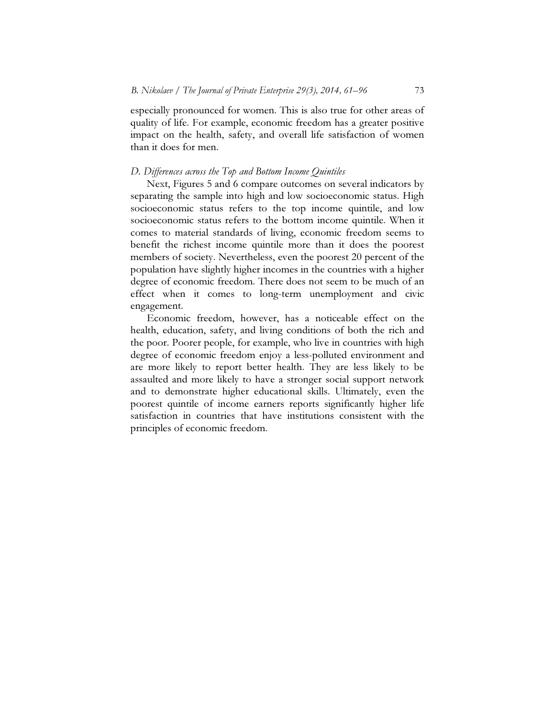especially pronounced for women. This is also true for other areas of quality of life. For example, economic freedom has a greater positive impact on the health, safety, and overall life satisfaction of women than it does for men.

#### D. Differences across the Top and Bottom Income Quintiles

 Next, Figures 5 and 6 compare outcomes on several indicators by separating the sample into high and low socioeconomic status. High socioeconomic status refers to the top income quintile, and low socioeconomic status refers to the bottom income quintile. When it comes to material standards of living, economic freedom seems to benefit the richest income quintile more than it does the poorest members of society. Nevertheless, even the poorest 20 percent of the population have slightly higher incomes in the countries with a higher degree of economic freedom. There does not seem to be much of an effect when it comes to long-term unemployment and civic engagement.

 Economic freedom, however, has a noticeable effect on the health, education, safety, and living conditions of both the rich and the poor. Poorer people, for example, who live in countries with high degree of economic freedom enjoy a less-polluted environment and are more likely to report better health. They are less likely to be assaulted and more likely to have a stronger social support network and to demonstrate higher educational skills. Ultimately, even the poorest quintile of income earners reports significantly higher life satisfaction in countries that have institutions consistent with the principles of economic freedom.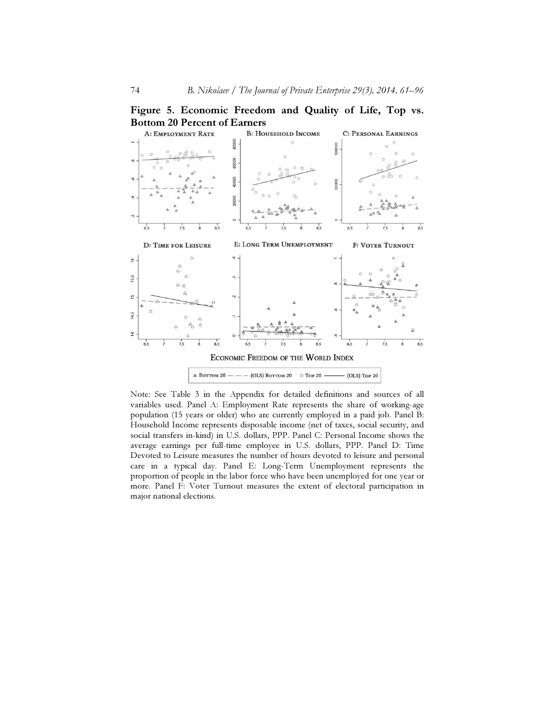Figure 5. Economic Freedom and Quality of Life, Top vs.



Note: See Table 3 in the Appendix for detailed definitions and sources of all variables used. Panel A: Employment Rate represents the share of working-age population (15 years or older) who are currently employed in a paid job. Panel B: Household Income represents disposable income (net of taxes, social security, and social transfers in-kind) in U.S. dollars, PPP. Panel C: Personal Income shows the average earnings per full-time employee in U.S. dollars, PPP. Panel D: Time Devoted to Leisure measures the number of hours devoted to leisure and personal care in a typical day. Panel E: Long-Term Unemployment represents the proportion of people in the labor force who have been unemployed for one year or more. Panel F: Voter Turnout measures the extent of electoral participation in major national elections.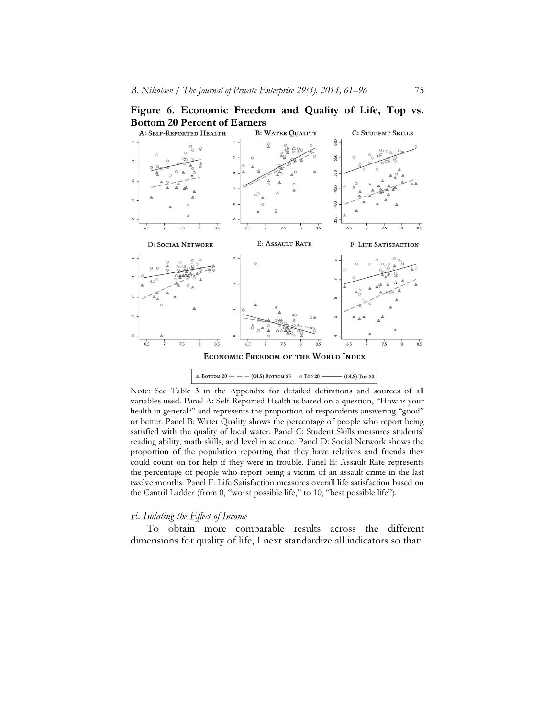



Note: See Table 3 in the Appendix for detailed definitions and sources of all variables used. Panel A: Self-Reported Health is based on a question, "How is your health in general?" and represents the proportion of respondents answering "good" or better. Panel B: Water Quality shows the percentage of people who report being satisfied with the quality of local water. Panel C: Student Skills measures students' reading ability, math skills, and level in science. Panel D: Social Network shows the proportion of the population reporting that they have relatives and friends they could count on for help if they were in trouble. Panel E: Assault Rate represents the percentage of people who report being a victim of an assault crime in the last twelve months. Panel F: Life Satisfaction measures overall life satisfaction based on the Cantril Ladder (from 0, "worst possible life," to 10, "best possible life").

#### E. Isolating the Effect of Income

 To obtain more comparable results across the different dimensions for quality of life, I next standardize all indicators so that: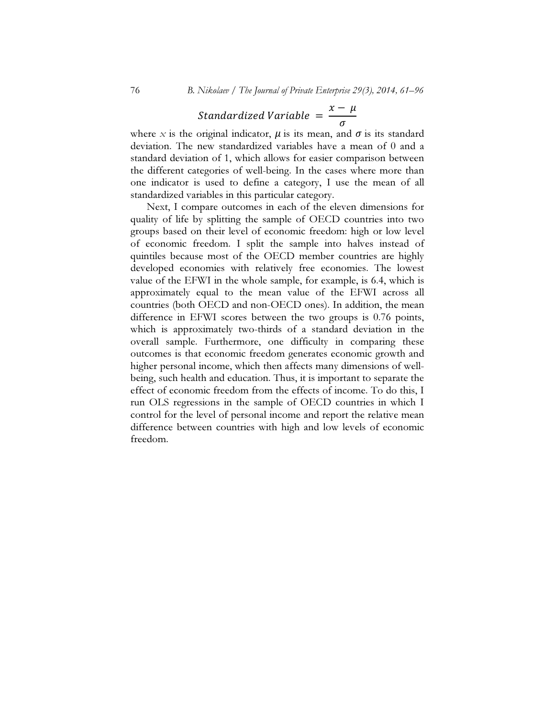#### Standardized Variable =  $x-\mu$  $\sigma$

where x is the original indicator,  $\mu$  is its mean, and  $\sigma$  is its standard deviation. The new standardized variables have a mean of 0 and a standard deviation of 1, which allows for easier comparison between the different categories of well-being. In the cases where more than one indicator is used to define a category, I use the mean of all standardized variables in this particular category.

 Next, I compare outcomes in each of the eleven dimensions for quality of life by splitting the sample of OECD countries into two groups based on their level of economic freedom: high or low level of economic freedom. I split the sample into halves instead of quintiles because most of the OECD member countries are highly developed economies with relatively free economies. The lowest value of the EFWI in the whole sample, for example, is 6.4, which is approximately equal to the mean value of the EFWI across all countries (both OECD and non-OECD ones). In addition, the mean difference in EFWI scores between the two groups is 0.76 points, which is approximately two-thirds of a standard deviation in the overall sample. Furthermore, one difficulty in comparing these outcomes is that economic freedom generates economic growth and higher personal income, which then affects many dimensions of wellbeing, such health and education. Thus, it is important to separate the effect of economic freedom from the effects of income. To do this, I run OLS regressions in the sample of OECD countries in which I control for the level of personal income and report the relative mean difference between countries with high and low levels of economic freedom.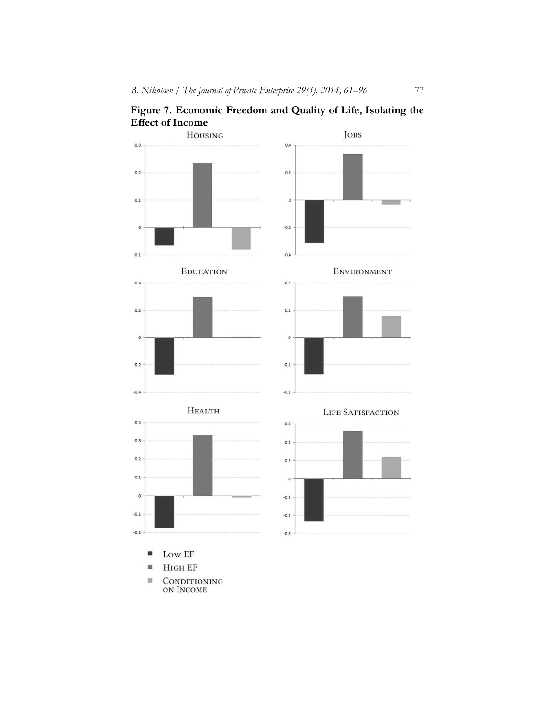Figure 7. Economic Freedom and Quality of Life, Isolating the

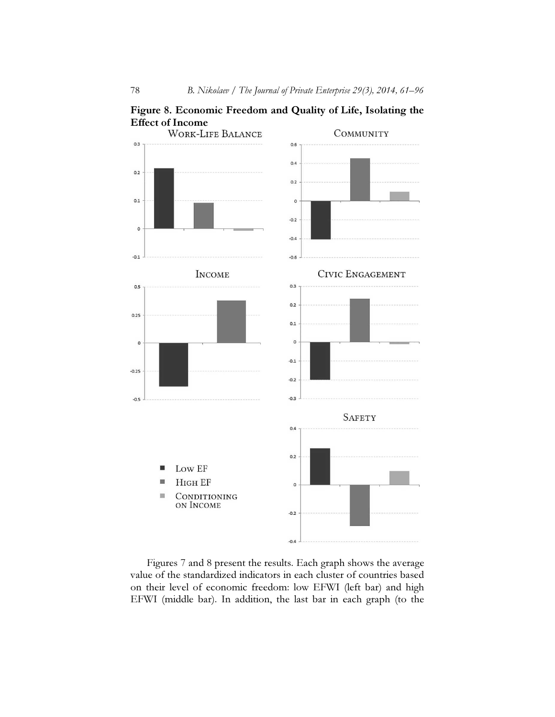

Figure 8. Economic Freedom and Quality of Life, Isolating the

 Figures 7 and 8 present the results. Each graph shows the average value of the standardized indicators in each cluster of countries based on their level of economic freedom: low EFWI (left bar) and high EFWI (middle bar). In addition, the last bar in each graph (to the

 $-0.4$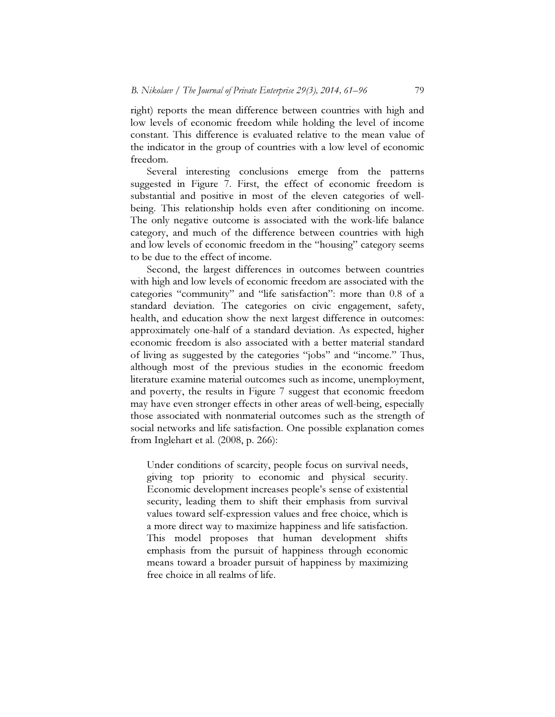right) reports the mean difference between countries with high and low levels of economic freedom while holding the level of income constant. This difference is evaluated relative to the mean value of the indicator in the group of countries with a low level of economic freedom.

 Several interesting conclusions emerge from the patterns suggested in Figure 7. First, the effect of economic freedom is substantial and positive in most of the eleven categories of wellbeing. This relationship holds even after conditioning on income. The only negative outcome is associated with the work-life balance category, and much of the difference between countries with high and low levels of economic freedom in the "housing" category seems to be due to the effect of income.

 Second, the largest differences in outcomes between countries with high and low levels of economic freedom are associated with the categories "community" and "life satisfaction": more than 0.8 of a standard deviation. The categories on civic engagement, safety, health, and education show the next largest difference in outcomes: approximately one-half of a standard deviation. As expected, higher economic freedom is also associated with a better material standard of living as suggested by the categories "jobs" and "income." Thus, although most of the previous studies in the economic freedom literature examine material outcomes such as income, unemployment, and poverty, the results in Figure 7 suggest that economic freedom may have even stronger effects in other areas of well-being, especially those associated with nonmaterial outcomes such as the strength of social networks and life satisfaction. One possible explanation comes from Inglehart et al. (2008, p. 266):

Under conditions of scarcity, people focus on survival needs, giving top priority to economic and physical security. Economic development increases people's sense of existential security, leading them to shift their emphasis from survival values toward self-expression values and free choice, which is a more direct way to maximize happiness and life satisfaction. This model proposes that human development shifts emphasis from the pursuit of happiness through economic means toward a broader pursuit of happiness by maximizing free choice in all realms of life.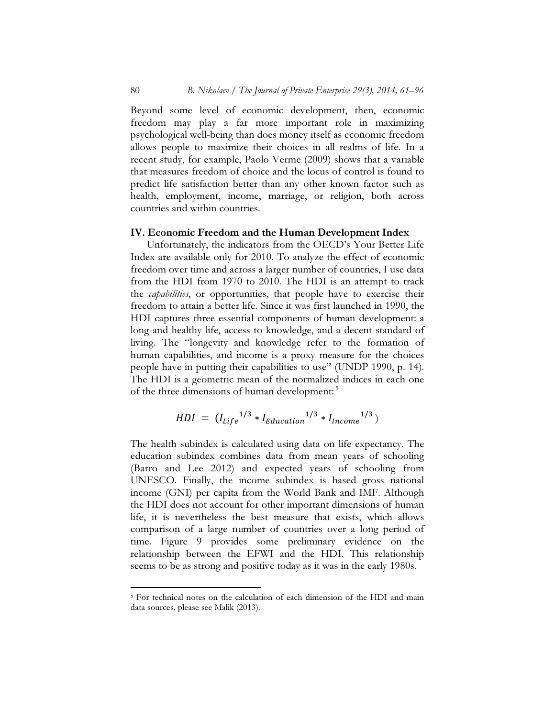Beyond some level of economic development, then, economic freedom may play a far more important role in maximizing psychological well-being than does money itself as economic freedom allows people to maximize their choices in all realms of life. In a recent study, for example, Paolo Verme (2009) shows that a variable that measures freedom of choice and the locus of control is found to predict life satisfaction better than any other known factor such as health, employment, income, marriage, or religion, both across countries and within countries.

#### IV. Economic Freedom and the Human Development Index

 Unfortunately, the indicators from the OECD's Your Better Life Index are available only for 2010. To analyze the effect of economic freedom over time and across a larger number of countries, I use data from the HDI from 1970 to 2010. The HDI is an attempt to track the *capabilities*, or opportunities, that people have to exercise their freedom to attain a better life. Since it was first launched in 1990, the HDI captures three essential components of human development: a long and healthy life, access to knowledge, and a decent standard of living. The "longevity and knowledge refer to the formation of human capabilities, and income is a proxy measure for the choices people have in putting their capabilities to use" (UNDP 1990, p. 14). The HDI is a geometric mean of the normalized indices in each one of the three dimensions of human development:<sup>5</sup>

$$
HDI = (I_{Life}^{1/3} * I_{Education}^{1/3} * I_{Income}^{1/3})
$$

The health subindex is calculated using data on life expectancy. The education subindex combines data from mean years of schooling (Barro and Lee 2012) and expected years of schooling from UNESCO. Finally, the income subindex is based gross national income (GNI) per capita from the World Bank and IMF. Although the HDI does not account for other important dimensions of human life, it is nevertheless the best measure that exists, which allows comparison of a large number of countries over a long period of time. Figure 9 provides some preliminary evidence on the relationship between the EFWI and the HDI. This relationship seems to be as strong and positive today as it was in the early 1980s.

 $\overline{a}$ 

<sup>&</sup>lt;sup>5</sup> For technical notes on the calculation of each dimension of the HDI and main data sources, please see Malik (2013).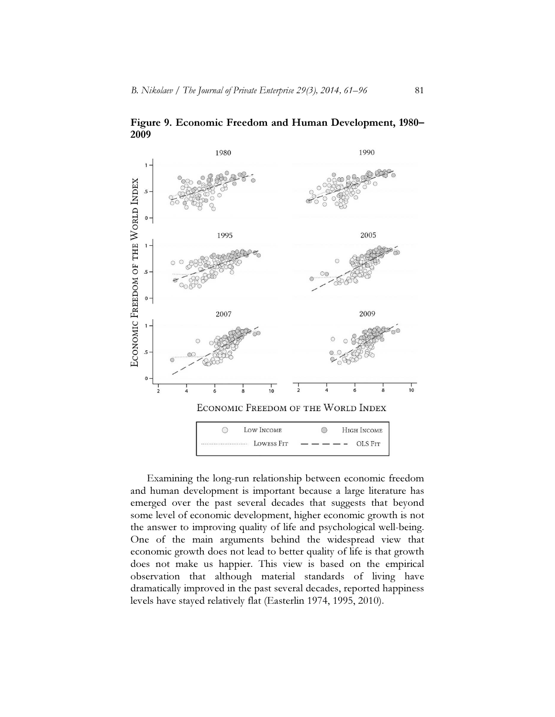

Figure 9. Economic Freedom and Human Development, 1980– 2009

 Examining the long-run relationship between economic freedom and human development is important because a large literature has emerged over the past several decades that suggests that beyond some level of economic development, higher economic growth is not the answer to improving quality of life and psychological well-being. One of the main arguments behind the widespread view that economic growth does not lead to better quality of life is that growth does not make us happier. This view is based on the empirical observation that although material standards of living have dramatically improved in the past several decades, reported happiness levels have stayed relatively flat (Easterlin 1974, 1995, 2010).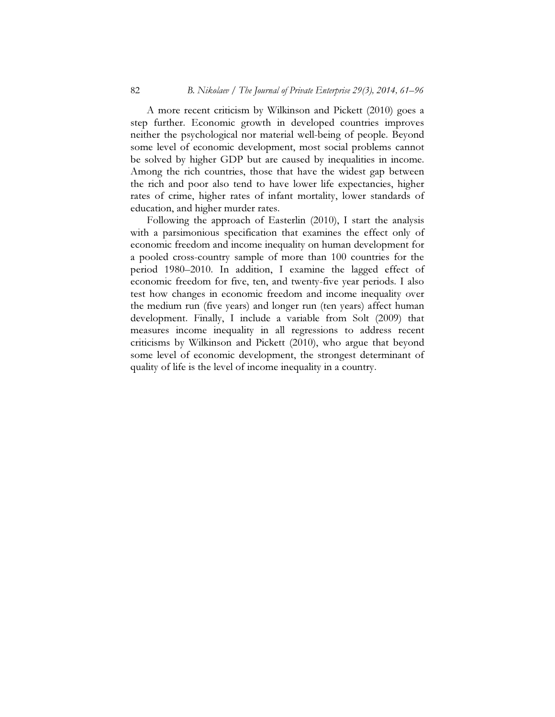A more recent criticism by Wilkinson and Pickett (2010) goes a step further. Economic growth in developed countries improves neither the psychological nor material well-being of people. Beyond some level of economic development, most social problems cannot be solved by higher GDP but are caused by inequalities in income. Among the rich countries, those that have the widest gap between the rich and poor also tend to have lower life expectancies, higher rates of crime, higher rates of infant mortality, lower standards of education, and higher murder rates.

 Following the approach of Easterlin (2010), I start the analysis with a parsimonious specification that examines the effect only of economic freedom and income inequality on human development for a pooled cross-country sample of more than 100 countries for the period 1980–2010. In addition, I examine the lagged effect of economic freedom for five, ten, and twenty-five year periods. I also test how changes in economic freedom and income inequality over the medium run (five years) and longer run (ten years) affect human development. Finally, I include a variable from Solt (2009) that measures income inequality in all regressions to address recent criticisms by Wilkinson and Pickett (2010), who argue that beyond some level of economic development, the strongest determinant of quality of life is the level of income inequality in a country.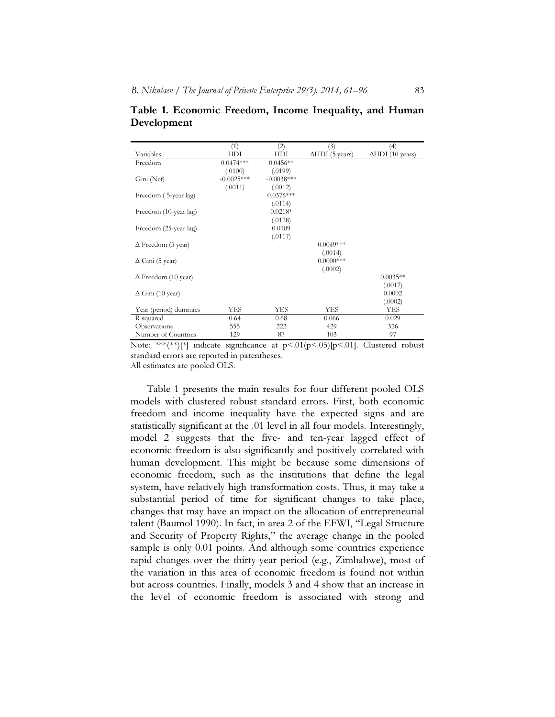|                            | (1)          | (2)          | (3)            | (4)                   |
|----------------------------|--------------|--------------|----------------|-----------------------|
| Variables                  | HDI          | <b>HDI</b>   | ΔHDI (5 years) | ∆HDI (10 years)       |
| Freedom                    | $0.0474***$  | $0.0456**$   |                |                       |
|                            | (.0100)      | (.0199)      |                |                       |
| Gini (Net)                 | $-0.0025***$ | $-0.0038***$ |                |                       |
|                            | (.0011)      | (.0012)      |                |                       |
| Freedom (5-year lag)       |              | $0.0376***$  |                |                       |
|                            |              | (.0114)      |                |                       |
| Freedom (10-year lag)      |              | $0.0218*$    |                |                       |
|                            |              | (.0128)      |                |                       |
| Freedom (25-year lag)      |              | 0.0109       |                |                       |
|                            |              | (.0117)      |                |                       |
| $\Delta$ Freedom (5 year)  |              |              | $0.0049***$    |                       |
|                            |              |              | (.0014)        |                       |
| $\Delta$ Gini (5 year)     |              |              | $0.0000$ ***   |                       |
|                            |              |              | (.0002)        |                       |
| $\Delta$ Freedom (10 year) |              |              |                | $0.0035**$            |
|                            |              |              |                | (.0017)<br>0.0002     |
| $\Delta$ Gini (10 year)    |              |              |                |                       |
| Year (period) dummies      | YES          | YES          | YES            | (.0002)<br><b>YES</b> |
|                            |              |              |                |                       |
| R squared                  | 0.64         | 0.68         | 0.066          | 0.029                 |
| Observations               | 555          | 222          | 429            | 326                   |
| Number of Countries        | 129          | 87           | 103            | 97                    |

Table 1. Economic Freedom, Income Inequality, and Human Development

Note: \*\*\*(\*\*)[\*] indicate significance at  $p < .01(p < .05)$  [p $< .01$ ]. Clustered robust standard errors are reported in parentheses.

All estimates are pooled OLS.

 Table 1 presents the main results for four different pooled OLS models with clustered robust standard errors. First, both economic freedom and income inequality have the expected signs and are statistically significant at the .01 level in all four models. Interestingly, model 2 suggests that the five- and ten-year lagged effect of economic freedom is also significantly and positively correlated with human development. This might be because some dimensions of economic freedom, such as the institutions that define the legal system, have relatively high transformation costs. Thus, it may take a substantial period of time for significant changes to take place, changes that may have an impact on the allocation of entrepreneurial talent (Baumol 1990). In fact, in area 2 of the EFWI, "Legal Structure and Security of Property Rights," the average change in the pooled sample is only 0.01 points. And although some countries experience rapid changes over the thirty-year period (e.g., Zimbabwe), most of the variation in this area of economic freedom is found not within but across countries. Finally, models 3 and 4 show that an increase in the level of economic freedom is associated with strong and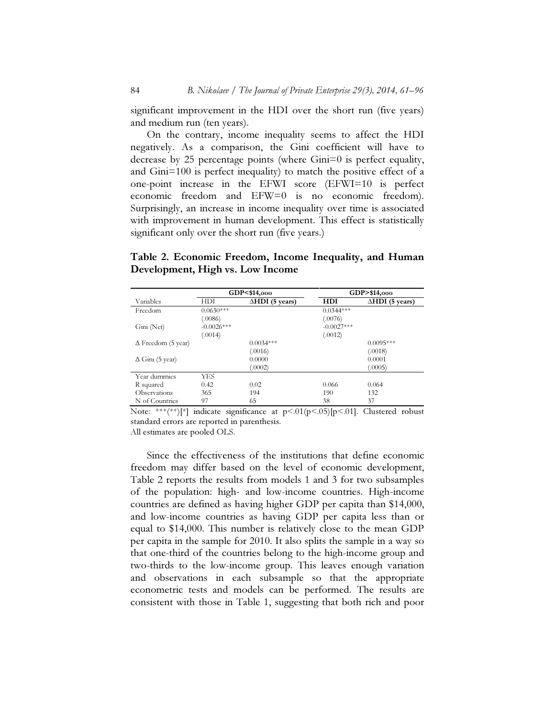significant improvement in the HDI over the short run (five years) and medium run (ten years).

 On the contrary, income inequality seems to affect the HDI negatively. As a comparison, the Gini coefficient will have to decrease by 25 percentage points (where Gini=0 is perfect equality, and Gini=100 is perfect inequality) to match the positive effect of a one-point increase in the EFWI score (EFWI=10 is perfect economic freedom and EFW=0 is no economic freedom). Surprisingly, an increase in income inequality over time is associated with improvement in human development. This effect is statistically significant only over the short run (five years.)

## Table 2. Economic Freedom, Income Inequality, and Human Development, High vs. Low Income

|                           |              | GDP<\$14,000              |              | GDP>\$14,000              |
|---------------------------|--------------|---------------------------|--------------|---------------------------|
| Variables                 | HDI          | $\triangle HDI$ (5 years) | HDI          | $\triangle HDI$ (5 years) |
| Freedom                   | $0.0630***$  |                           | $0.0344***$  |                           |
|                           | (.0086)      |                           | (.0076)      |                           |
| Gini (Net)                | $-0.0026***$ |                           | $-0.0027***$ |                           |
|                           | (.0014)      |                           | (.0012)      |                           |
| $\Delta$ Freedom (5 year) |              | $0.0034***$               |              | $0.0095***$               |
|                           |              | (.0016)                   |              | (.0018)                   |
| $\Delta$ Gini (5 year)    |              | 0.0000                    |              | 0.0001                    |
|                           |              | (.0002)                   |              | (.0005)                   |
| Year dummies              | YES          |                           |              |                           |
| R squared                 | 0.42         | 0.02                      | 0.066        | 0.064                     |
| Observations              | 365          | 194                       | 190          | 132                       |
| N of Countries            | 97           | 65                        | 38           | 37                        |

Note: \*\*\*(\*\*)[\*] indicate significance at p<.01(p<.05)[p<.01]. Clustered robust standard errors are reported in parenthesis.

All estimates are pooled OLS.

 Since the effectiveness of the institutions that define economic freedom may differ based on the level of economic development, Table 2 reports the results from models 1 and 3 for two subsamples of the population: high- and low-income countries. High-income countries are defined as having higher GDP per capita than \$14,000, and low-income countries as having GDP per capita less than or equal to \$14,000. This number is relatively close to the mean GDP per capita in the sample for 2010. It also splits the sample in a way so that one-third of the countries belong to the high-income group and two-thirds to the low-income group. This leaves enough variation and observations in each subsample so that the appropriate econometric tests and models can be performed. The results are consistent with those in Table 1, suggesting that both rich and poor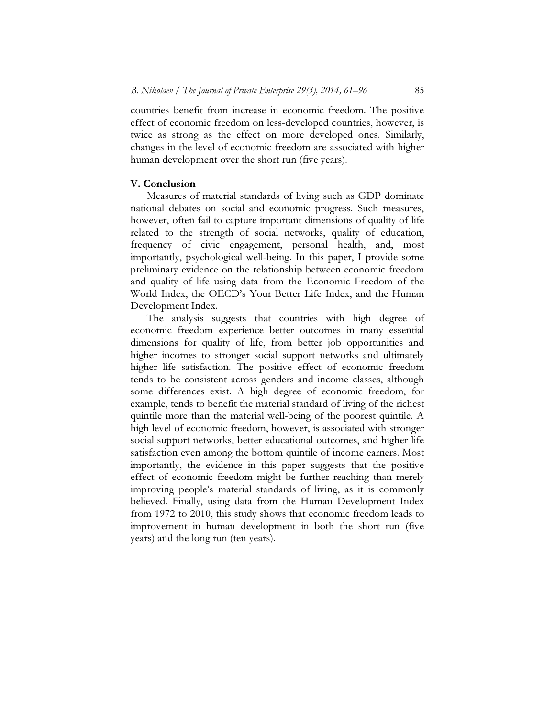countries benefit from increase in economic freedom. The positive effect of economic freedom on less-developed countries, however, is twice as strong as the effect on more developed ones. Similarly, changes in the level of economic freedom are associated with higher human development over the short run (five years).

### V. Conclusion

 Measures of material standards of living such as GDP dominate national debates on social and economic progress. Such measures, however, often fail to capture important dimensions of quality of life related to the strength of social networks, quality of education, frequency of civic engagement, personal health, and, most importantly, psychological well-being. In this paper, I provide some preliminary evidence on the relationship between economic freedom and quality of life using data from the Economic Freedom of the World Index, the OECD's Your Better Life Index, and the Human Development Index.

 The analysis suggests that countries with high degree of economic freedom experience better outcomes in many essential dimensions for quality of life, from better job opportunities and higher incomes to stronger social support networks and ultimately higher life satisfaction. The positive effect of economic freedom tends to be consistent across genders and income classes, although some differences exist. A high degree of economic freedom, for example, tends to benefit the material standard of living of the richest quintile more than the material well-being of the poorest quintile. A high level of economic freedom, however, is associated with stronger social support networks, better educational outcomes, and higher life satisfaction even among the bottom quintile of income earners. Most importantly, the evidence in this paper suggests that the positive effect of economic freedom might be further reaching than merely improving people's material standards of living, as it is commonly believed. Finally, using data from the Human Development Index from 1972 to 2010, this study shows that economic freedom leads to improvement in human development in both the short run (five years) and the long run (ten years).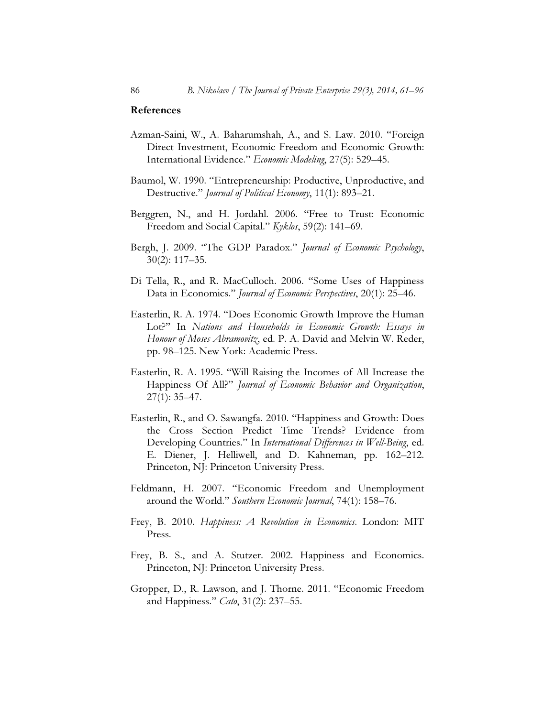#### References

- Azman-Saini, W., A. Baharumshah, A., and S. Law. 2010. "Foreign Direct Investment, Economic Freedom and Economic Growth: International Evidence." Economic Modeling, 27(5): 529–45.
- Baumol, W. 1990. "Entrepreneurship: Productive, Unproductive, and Destructive." Journal of Political Economy, 11(1): 893-21.
- Berggren, N., and H. Jordahl. 2006. "Free to Trust: Economic Freedom and Social Capital." Kyklos, 59(2): 141–69.
- Bergh, J. 2009. "The GDP Paradox." Journal of Economic Psychology, 30(2): 117–35.
- Di Tella, R., and R. MacCulloch. 2006. "Some Uses of Happiness Data in Economics." Journal of Economic Perspectives, 20(1): 25–46.
- Easterlin, R. A. 1974. "Does Economic Growth Improve the Human Lot?" In Nations and Households in Economic Growth: Essays in Honour of Moses Abramovitz, ed. P. A. David and Melvin W. Reder, pp. 98–125. New York: Academic Press.
- Easterlin, R. A. 1995. "Will Raising the Incomes of All Increase the Happiness Of All?" Journal of Economic Behavior and Organization, 27(1): 35–47.
- Easterlin, R., and O. Sawangfa. 2010. "Happiness and Growth: Does the Cross Section Predict Time Trends? Evidence from Developing Countries." In International Differences in Well-Being, ed. E. Diener, J. Helliwell, and D. Kahneman, pp. 162–212. Princeton, NJ: Princeton University Press.
- Feldmann, H. 2007. "Economic Freedom and Unemployment around the World." Southern Economic Journal, 74(1): 158–76.
- Frey, B. 2010. Happiness: A Revolution in Economics. London: MIT Press.
- Frey, B. S., and A. Stutzer. 2002. Happiness and Economics. Princeton, NJ: Princeton University Press.
- Gropper, D., R. Lawson, and J. Thorne. 2011. "Economic Freedom and Happiness." Cato, 31(2): 237–55.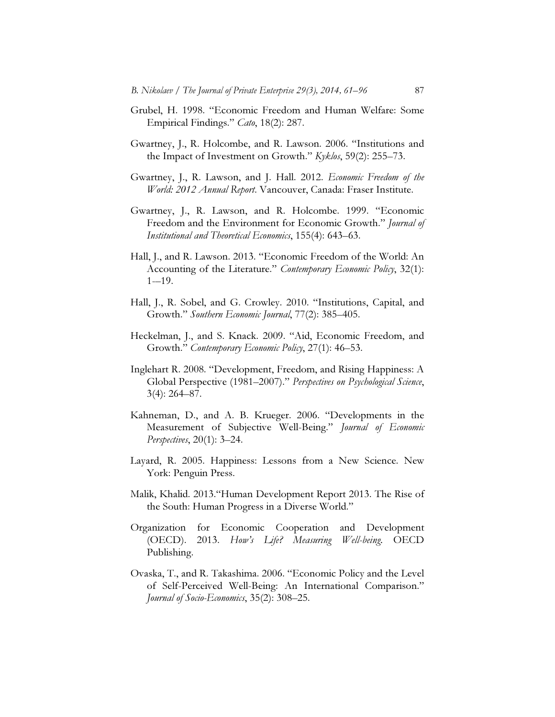- Grubel, H. 1998. "Economic Freedom and Human Welfare: Some Empirical Findings." Cato, 18(2): 287.
- Gwartney, J., R. Holcombe, and R. Lawson. 2006. "Institutions and the Impact of Investment on Growth." Kyklos, 59(2): 255–73.
- Gwartney, J., R. Lawson, and J. Hall. 2012. Economic Freedom of the World: 2012 Annual Report. Vancouver, Canada: Fraser Institute.
- Gwartney, J., R. Lawson, and R. Holcombe. 1999. "Economic Freedom and the Environment for Economic Growth." Journal of Institutional and Theoretical Economics, 155(4): 643–63.
- Hall, J., and R. Lawson. 2013. "Economic Freedom of the World: An Accounting of the Literature." Contemporary Economic Policy, 32(1):  $1 - 19$ .
- Hall, J., R. Sobel, and G. Crowley. 2010. "Institutions, Capital, and Growth." Southern Economic Journal, 77(2): 385–405.
- Heckelman, J., and S. Knack. 2009. "Aid, Economic Freedom, and Growth." Contemporary Economic Policy, 27(1): 46–53.
- Inglehart R. 2008. "Development, Freedom, and Rising Happiness: A Global Perspective (1981–2007)." Perspectives on Psychological Science, 3(4): 264–87.
- Kahneman, D., and A. B. Krueger. 2006. "Developments in the Measurement of Subjective Well-Being." Journal of Economic Perspectives, 20(1): 3–24.
- Layard, R. 2005. Happiness: Lessons from a New Science. New York: Penguin Press.
- Malik, Khalid. 2013."Human Development Report 2013. The Rise of the South: Human Progress in a Diverse World."
- Organization for Economic Cooperation and Development (OECD). 2013. How's Life? Measuring Well-being. OECD Publishing.
- Ovaska, T., and R. Takashima. 2006. "Economic Policy and the Level of Self-Perceived Well-Being: An International Comparison." Journal of Socio-Economics, 35(2): 308–25.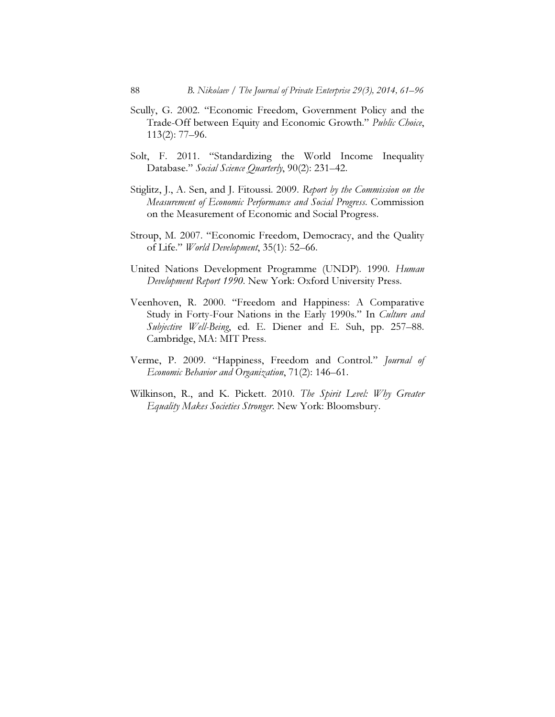- Scully, G. 2002. "Economic Freedom, Government Policy and the Trade-Off between Equity and Economic Growth." Public Choice, 113(2): 77–96.
- Solt, F. 2011. "Standardizing the World Income Inequality Database." Social Science Quarterly, 90(2): 231-42.
- Stiglitz, J., A. Sen, and J. Fitoussi. 2009. Report by the Commission on the Measurement of Economic Performance and Social Progress. Commission on the Measurement of Economic and Social Progress.
- Stroup, M. 2007. "Economic Freedom, Democracy, and the Quality of Life." World Development, 35(1): 52–66.
- United Nations Development Programme (UNDP). 1990. Human Development Report 1990. New York: Oxford University Press.
- Veenhoven, R. 2000. "Freedom and Happiness: A Comparative Study in Forty-Four Nations in the Early 1990s." In Culture and Subjective Well-Being, ed. E. Diener and E. Suh, pp. 257–88. Cambridge, MA: MIT Press.
- Verme, P. 2009. "Happiness, Freedom and Control." Journal of Economic Behavior and Organization, 71(2): 146–61.
- Wilkinson, R., and K. Pickett. 2010. The Spirit Level: Why Greater Equality Makes Societies Stronger. New York: Bloomsbury.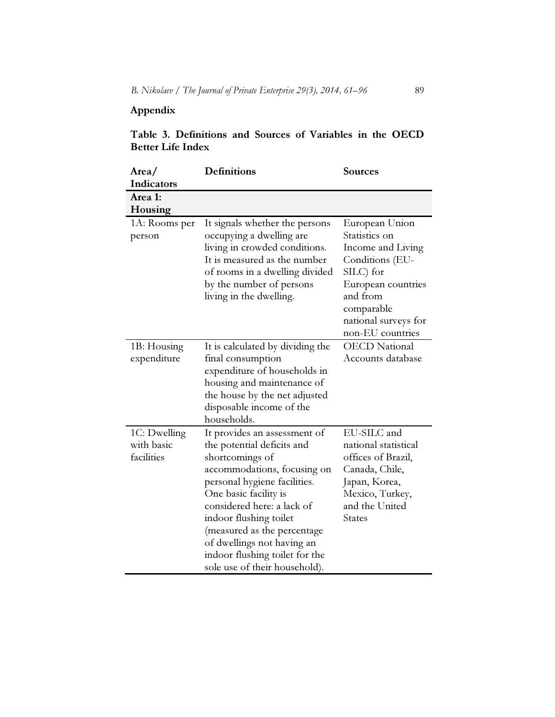# Appendix

## Table 3. Definitions and Sources of Variables in the OECD Better Life Index

| Area/<br>Indicators                      | <b>Definitions</b>                                                                                                                                                                                                                                                                                                                                            | <b>Sources</b>                                                                                                                                                                   |
|------------------------------------------|---------------------------------------------------------------------------------------------------------------------------------------------------------------------------------------------------------------------------------------------------------------------------------------------------------------------------------------------------------------|----------------------------------------------------------------------------------------------------------------------------------------------------------------------------------|
| Area 1:<br>Housing                       |                                                                                                                                                                                                                                                                                                                                                               |                                                                                                                                                                                  |
| 1A: Rooms per<br>person                  | It signals whether the persons<br>occupying a dwelling are<br>living in crowded conditions.<br>It is measured as the number<br>of rooms in a dwelling divided<br>by the number of persons<br>living in the dwelling.                                                                                                                                          | European Union<br>Statistics on<br>Income and Living<br>Conditions (EU-<br>SILC) for<br>European countries<br>and from<br>comparable<br>national surveys for<br>non-EU countries |
| 1B: Housing<br>expenditure               | It is calculated by dividing the<br>final consumption<br>expenditure of households in<br>housing and maintenance of<br>the house by the net adjusted<br>disposable income of the<br>households.                                                                                                                                                               | <b>OECD</b> National<br>Accounts database                                                                                                                                        |
| 1C: Dwelling<br>with basic<br>facilities | It provides an assessment of<br>the potential deficits and<br>shortcomings of<br>accommodations, focusing on<br>personal hygiene facilities.<br>One basic facility is<br>considered here: a lack of<br>indoor flushing toilet<br>(measured as the percentage<br>of dwellings not having an<br>indoor flushing toilet for the<br>sole use of their household). | EU-SILC and<br>national statistical<br>offices of Brazil,<br>Canada, Chile,<br>Japan, Korea,<br>Mexico, Turkey,<br>and the United<br><b>States</b>                               |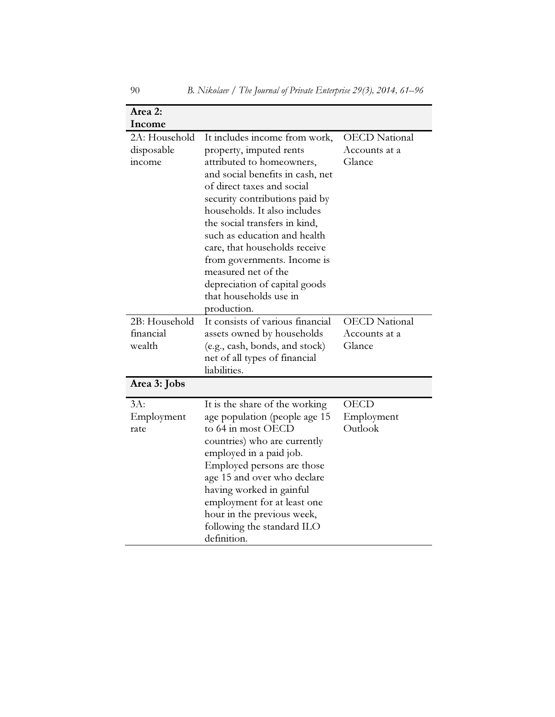| Area 2:                                                |                                                                                                                                                                                                                                                                                                                                                                                                                                                             |                                                 |
|--------------------------------------------------------|-------------------------------------------------------------------------------------------------------------------------------------------------------------------------------------------------------------------------------------------------------------------------------------------------------------------------------------------------------------------------------------------------------------------------------------------------------------|-------------------------------------------------|
| Income<br>2A: Household<br>disposable<br><i>income</i> | It includes income from work,<br>property, imputed rents<br>attributed to homeowners,<br>and social benefits in cash, net<br>of direct taxes and social<br>security contributions paid by<br>households. It also includes<br>the social transfers in kind,<br>such as education and health<br>care, that households receive<br>from governments. Income is<br>measured net of the<br>depreciation of capital goods<br>that households use in<br>production. | <b>OECD</b> National<br>Accounts at a<br>Glance |
| 2B: Household<br>financial<br>wealth                   | It consists of various financial<br>assets owned by households<br>(e.g., cash, bonds, and stock)<br>net of all types of financial<br>liabilities.                                                                                                                                                                                                                                                                                                           | <b>OECD</b> National<br>Accounts at a<br>Glance |
| Area 3: Jobs                                           |                                                                                                                                                                                                                                                                                                                                                                                                                                                             |                                                 |
| $3A$ :<br>Employment<br>rate                           | It is the share of the working<br>age population (people age 15<br>to 64 in most OECD<br>countries) who are currently<br>employed in a paid job.<br>Employed persons are those<br>age 15 and over who declare<br>having worked in gainful<br>employment for at least one<br>hour in the previous week,<br>following the standard ILO<br>definition.                                                                                                         | <b>OECD</b><br>Employment<br>Outlook            |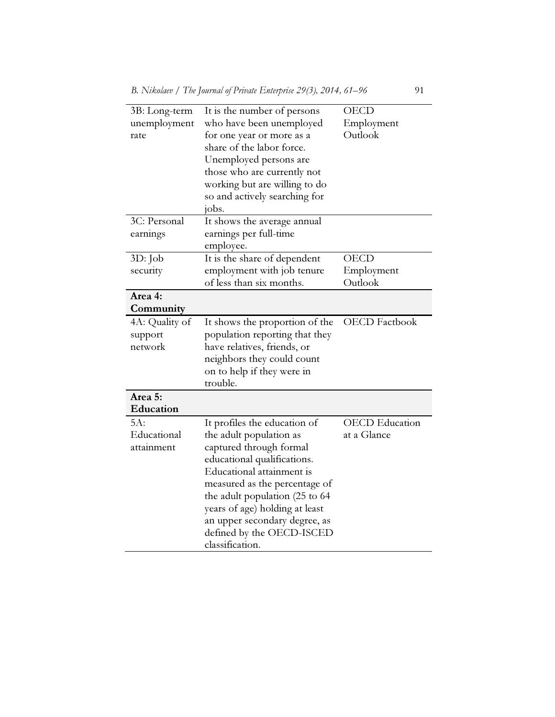| 3B: Long-term  | It is the number of persons    | <b>OECD</b>           |
|----------------|--------------------------------|-----------------------|
| unemployment   | who have been unemployed       | Employment            |
| rate           | for one year or more as a      | Outlook               |
|                | share of the labor force.      |                       |
|                | Unemployed persons are         |                       |
|                | those who are currently not    |                       |
|                | working but are willing to do  |                       |
|                | so and actively searching for  |                       |
|                | jobs.                          |                       |
| 3C: Personal   | It shows the average annual    |                       |
| earnings       | earnings per full-time         |                       |
|                | employee.                      |                       |
| 3D: Job        | It is the share of dependent   | <b>OECD</b>           |
| security       | employment with job tenure     | Employment            |
|                | of less than six months.       | Outlook               |
| Area 4:        |                                |                       |
| Community      |                                |                       |
| 4A: Quality of | It shows the proportion of the | <b>OECD</b> Factbook  |
| support        | population reporting that they |                       |
| network        | have relatives, friends, or    |                       |
|                | neighbors they could count     |                       |
|                | on to help if they were in     |                       |
|                | trouble.                       |                       |
| Area 5:        |                                |                       |
| Education      |                                |                       |
| 5A:            | It profiles the education of   | <b>OECD</b> Education |
| Educational    | the adult population as        | at a Glance           |
| attainment     | captured through formal        |                       |
|                | educational qualifications.    |                       |
|                | Educational attainment is      |                       |
|                | measured as the percentage of  |                       |
|                | the adult population (25 to 64 |                       |
|                | years of age) holding at least |                       |
|                | an upper secondary degree, as  |                       |
|                | defined by the OECD-ISCED      |                       |
|                | classification.                |                       |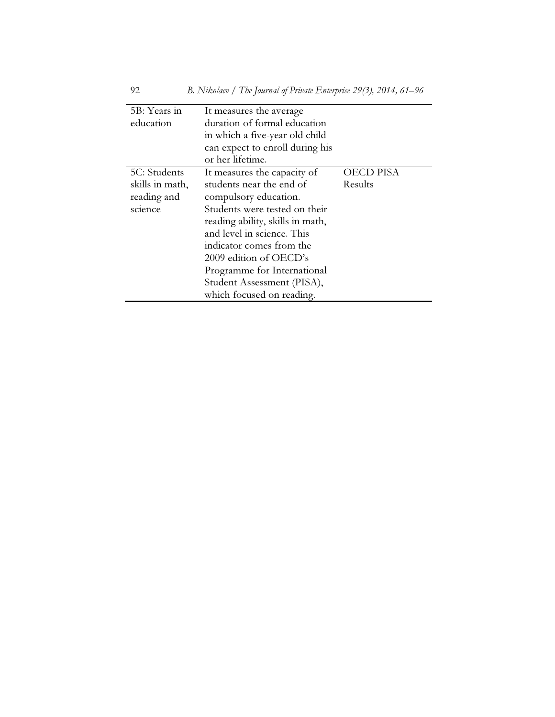| 5B: Years in    | It measures the average          |           |
|-----------------|----------------------------------|-----------|
| education       | duration of formal education     |           |
|                 | in which a five-year old child   |           |
|                 | can expect to enroll during his  |           |
|                 | or her lifetime.                 |           |
| 5C: Students    | It measures the capacity of      | OECD PISA |
| skills in math, | students near the end of         | Results   |
| reading and     | compulsory education.            |           |
| science         | Students were tested on their    |           |
|                 | reading ability, skills in math, |           |
|                 | and level in science. This       |           |
|                 | indicator comes from the         |           |
|                 | 2009 edition of OECD's           |           |
|                 | Programme for International      |           |
|                 | Student Assessment (PISA),       |           |
|                 | which focused on reading.        |           |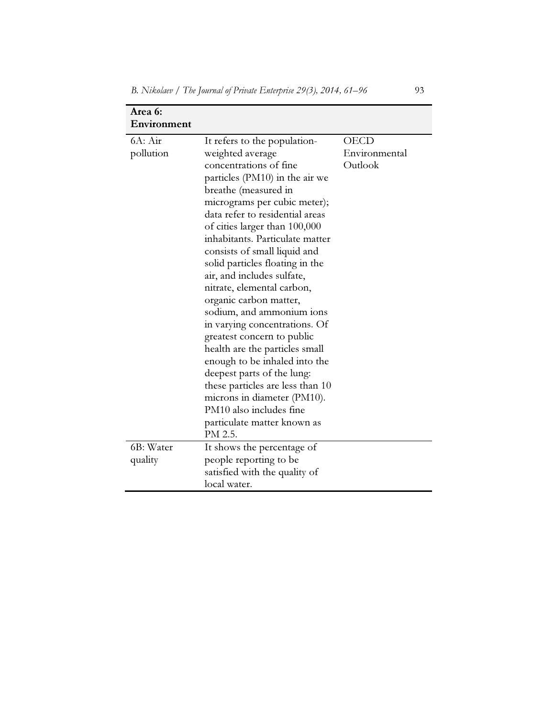| Area 6:              |                                                                                                                                                                                                                                                                                                                                                                                                                                                                                                                                                                                                                                                                       |                                  |
|----------------------|-----------------------------------------------------------------------------------------------------------------------------------------------------------------------------------------------------------------------------------------------------------------------------------------------------------------------------------------------------------------------------------------------------------------------------------------------------------------------------------------------------------------------------------------------------------------------------------------------------------------------------------------------------------------------|----------------------------------|
| Environment          |                                                                                                                                                                                                                                                                                                                                                                                                                                                                                                                                                                                                                                                                       |                                  |
| 6A: Air<br>pollution | It refers to the population-<br>weighted average<br>concentrations of fine<br>particles (PM10) in the air we<br>breathe (measured in<br>micrograms per cubic meter);<br>data refer to residential areas<br>of cities larger than 100,000<br>inhabitants. Particulate matter<br>consists of small liquid and<br>solid particles floating in the<br>air, and includes sulfate,<br>nitrate, elemental carbon,<br>organic carbon matter,<br>sodium, and ammonium ions<br>in varying concentrations. Of<br>greatest concern to public<br>health are the particles small<br>enough to be inhaled into the<br>deepest parts of the lung:<br>these particles are less than 10 | OECD<br>Environmental<br>Outlook |
|                      | microns in diameter (PM10).<br>PM10 also includes fine<br>particulate matter known as<br>PM 2.5.                                                                                                                                                                                                                                                                                                                                                                                                                                                                                                                                                                      |                                  |
| 6B: Water<br>quality | It shows the percentage of<br>people reporting to be<br>satisfied with the quality of<br>local water.                                                                                                                                                                                                                                                                                                                                                                                                                                                                                                                                                                 |                                  |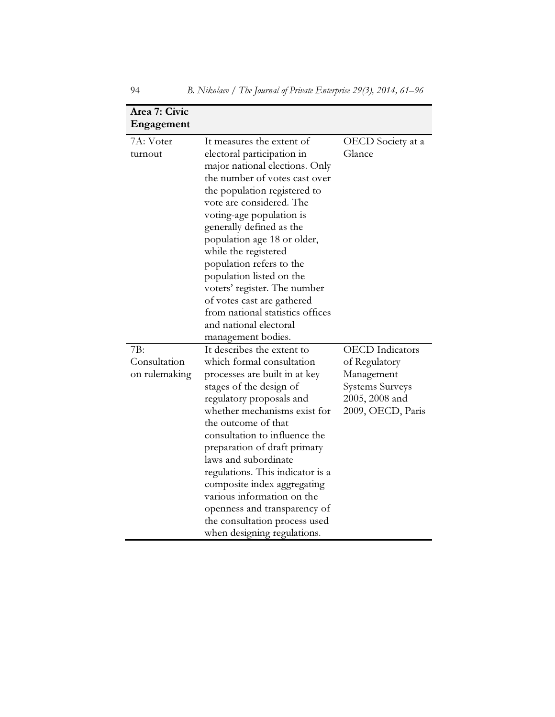| Area 7: Civic<br>Engagement |                                                                 |                        |
|-----------------------------|-----------------------------------------------------------------|------------------------|
| 7A: Voter                   | It measures the extent of                                       | OECD Society at a      |
| turnout                     | electoral participation in                                      | Glance                 |
|                             | major national elections. Only                                  |                        |
|                             | the number of votes cast over                                   |                        |
|                             | the population registered to                                    |                        |
|                             | vote are considered. The                                        |                        |
|                             | voting-age population is                                        |                        |
|                             | generally defined as the                                        |                        |
|                             | population age 18 or older,                                     |                        |
|                             | while the registered                                            |                        |
|                             | population refers to the                                        |                        |
|                             | population listed on the                                        |                        |
|                             | voters' register. The number                                    |                        |
|                             | of votes cast are gathered                                      |                        |
|                             | from national statistics offices                                |                        |
|                             | and national electoral                                          |                        |
|                             | management bodies.                                              |                        |
| 7B:                         | It describes the extent to                                      | <b>OECD</b> Indicators |
| Consultation                | which formal consultation                                       | of Regulatory          |
| on rulemaking               | processes are built in at key                                   | Management             |
|                             | stages of the design of                                         | <b>Systems Surveys</b> |
|                             | regulatory proposals and                                        | 2005, 2008 and         |
|                             | whether mechanisms exist for                                    | 2009, OECD, Paris      |
|                             | the outcome of that                                             |                        |
|                             | consultation to influence the                                   |                        |
|                             | preparation of draft primary<br>laws and subordinate            |                        |
|                             |                                                                 |                        |
|                             | regulations. This indicator is a<br>composite index aggregating |                        |
|                             | various information on the                                      |                        |
|                             | openness and transparency of                                    |                        |
|                             | the consultation process used                                   |                        |
|                             | when designing regulations.                                     |                        |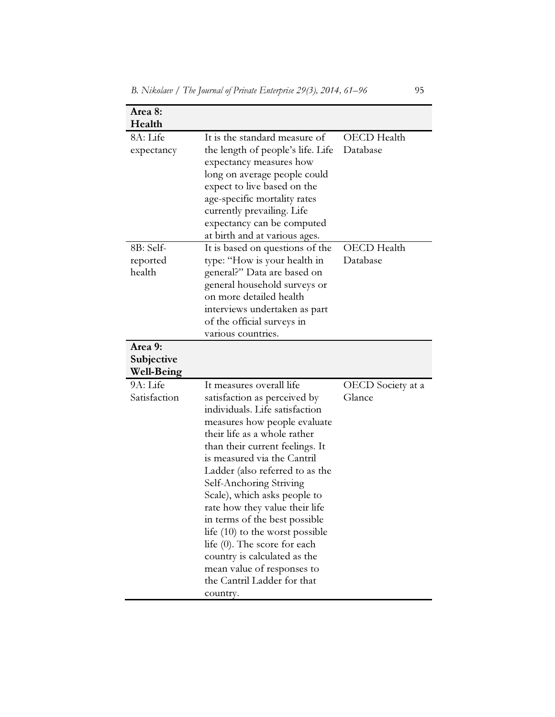| Area 8:<br>Health                          |                                                                                                                                                                                                                                                                                                                                                                                                                                                                                                                                                                             |                                |
|--------------------------------------------|-----------------------------------------------------------------------------------------------------------------------------------------------------------------------------------------------------------------------------------------------------------------------------------------------------------------------------------------------------------------------------------------------------------------------------------------------------------------------------------------------------------------------------------------------------------------------------|--------------------------------|
| 8A: Life<br>expectancy                     | It is the standard measure of<br>the length of people's life. Life<br>expectancy measures how<br>long on average people could<br>expect to live based on the<br>age-specific mortality rates<br>currently prevailing. Life<br>expectancy can be computed<br>at birth and at various ages.                                                                                                                                                                                                                                                                                   | OECD Health<br>Database        |
| 8B: Self-<br>reported<br>health<br>Area 9: | It is based on questions of the<br>type: "How is your health in<br>general?" Data are based on<br>general household surveys or<br>on more detailed health<br>interviews undertaken as part<br>of the official surveys in<br>various countries.                                                                                                                                                                                                                                                                                                                              | <b>OECD</b> Health<br>Database |
| Subjective<br><b>Well-Being</b>            |                                                                                                                                                                                                                                                                                                                                                                                                                                                                                                                                                                             |                                |
| 9A: Life<br>Satisfaction                   | It measures overall life<br>satisfaction as perceived by<br>individuals. Life satisfaction<br>measures how people evaluate<br>their life as a whole rather<br>than their current feelings. It<br>is measured via the Cantril<br>Ladder (also referred to as the<br>Self-Anchoring Striving<br>Scale), which asks people to<br>rate how they value their life<br>in terms of the best possible<br>life $(10)$ to the worst possible<br>life (0). The score for each<br>country is calculated as the<br>mean value of responses to<br>the Cantril Ladder for that<br>country. | OECD Society at a<br>Glance    |